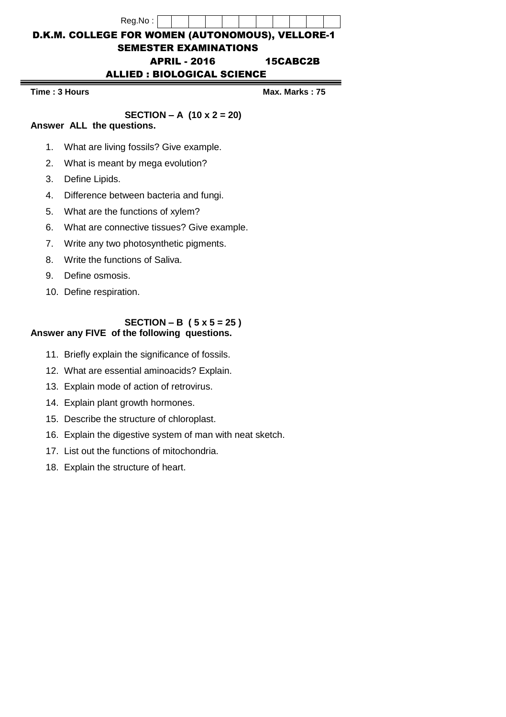# Reg.No : D.K.M. COLLEGE FOR WOMEN (AUTONOMOUS), VELLORE-1 SEMESTER EXAMINATIONS APRIL - 2016 15CABC2B ALLIED : BIOLOGICAL SCIENCE

**Time : 3 Hours Max. Marks : 75**

**SECTION – A (10 x 2 = 20)**

### **Answer ALL the questions.**

- 1. What are living fossils? Give example.
- 2. What is meant by mega evolution?
- 3. Define Lipids.
- 4. Difference between bacteria and fungi.
- 5. What are the functions of xylem?
- 6. What are connective tissues? Give example.
- 7. Write any two photosynthetic pigments.
- 8. Write the functions of Saliva.
- 9. Define osmosis.
- 10. Define respiration.

#### **SECTION – B ( 5 x 5 = 25 ) Answer any FIVE of the following questions.**

- 11. Briefly explain the significance of fossils.
- 12. What are essential aminoacids? Explain.
- 13. Explain mode of action of retrovirus.
- 14. Explain plant growth hormones.
- 15. Describe the structure of chloroplast.
- 16. Explain the digestive system of man with neat sketch.
- 17. List out the functions of mitochondria.
- 18. Explain the structure of heart.